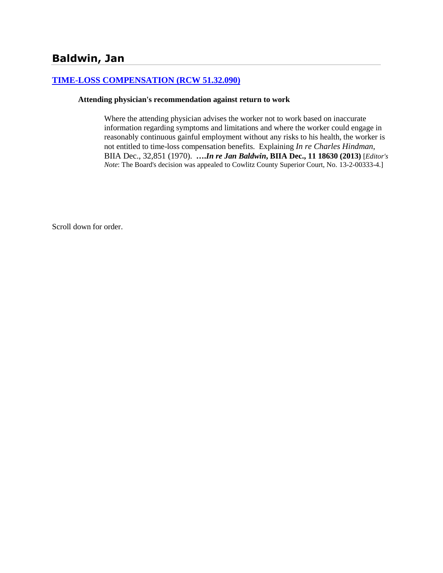#### **[TIME-LOSS COMPENSATION \(RCW 51.32.090\)](http://www.biia.wa.gov/SDSubjectIndex.html#TIME_LOSS_COMPENSATION)**

#### **Attending physician's recommendation against return to work**

Where the attending physician advises the worker not to work based on inaccurate information regarding symptoms and limitations and where the worker could engage in reasonably continuous gainful employment without any risks to his health, the worker is not entitled to time-loss compensation benefits. Explaining *In re Charles Hindman*, BIIA Dec., 32,851 (1970). **….***In re Jan Baldwin***, BIIA Dec., 11 18630 (2013)** [*Editor's Note*: The Board's decision was appealed to Cowlitz County Superior Court, No. 13-2-00333-4.]

Scroll down for order.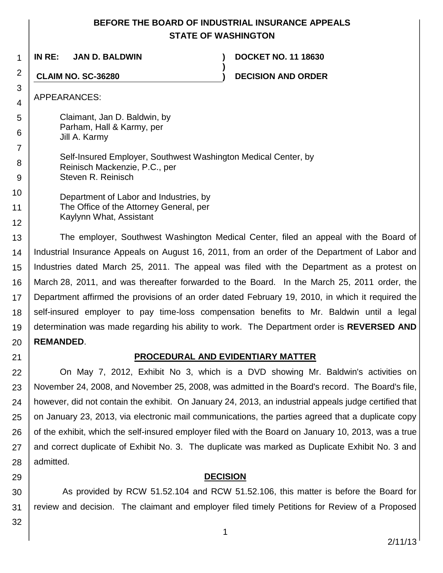# **BEFORE THE BOARD OF INDUSTRIAL INSURANCE APPEALS STATE OF WASHINGTON**

**)**

**IN RE: JAN D. BALDWIN ) DOCKET NO. 11 18630**

**CLAIM NO. SC-36280 ) DECISION AND ORDER**

APPEARANCES:

1

2

3 4

5

6

7

8 9

Claimant, Jan D. Baldwin, by Parham, Hall & Karmy, per Jill A. Karmy

Self-Insured Employer, Southwest Washington Medical Center, by Reinisch Mackenzie, P.C., per Steven R. Reinisch

10 11 12 Department of Labor and Industries, by The Office of the Attorney General, per Kaylynn What, Assistant

13 14 15 16 17 18 19 20 The employer, Southwest Washington Medical Center, filed an appeal with the Board of Industrial Insurance Appeals on August 16, 2011, from an order of the Department of Labor and Industries dated March 25, 2011. The appeal was filed with the Department as a protest on March 28, 2011, and was thereafter forwarded to the Board. In the March 25, 2011 order, the Department affirmed the provisions of an order dated February 19, 2010, in which it required the self-insured employer to pay time-loss compensation benefits to Mr. Baldwin until a legal determination was made regarding his ability to work. The Department order is **REVERSED AND REMANDED**.

21

## **PROCEDURAL AND EVIDENTIARY MATTER**

22 23 24 25 26 27 28 On May 7, 2012, Exhibit No 3, which is a DVD showing Mr. Baldwin's activities on November 24, 2008, and November 25, 2008, was admitted in the Board's record. The Board's file, however, did not contain the exhibit. On January 24, 2013, an industrial appeals judge certified that on January 23, 2013, via electronic mail communications, the parties agreed that a duplicate copy of the exhibit, which the self-insured employer filed with the Board on January 10, 2013, was a true and correct duplicate of Exhibit No. 3. The duplicate was marked as Duplicate Exhibit No. 3 and admitted.

## **DECISION**

30 31 As provided by RCW 51.52.104 and RCW 51.52.106, this matter is before the Board for review and decision. The claimant and employer filed timely Petitions for Review of a Proposed

32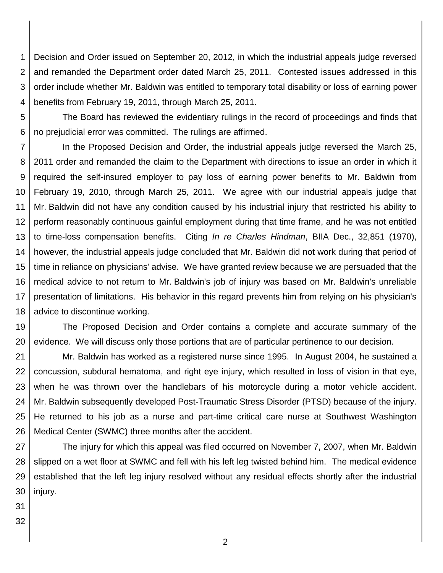1 2 3 4 Decision and Order issued on September 20, 2012, in which the industrial appeals judge reversed and remanded the Department order dated March 25, 2011. Contested issues addressed in this order include whether Mr. Baldwin was entitled to temporary total disability or loss of earning power benefits from February 19, 2011, through March 25, 2011.

5 6 The Board has reviewed the evidentiary rulings in the record of proceedings and finds that no prejudicial error was committed. The rulings are affirmed.

7 8 9 10 11 12 13 14 15 16 17 18 In the Proposed Decision and Order, the industrial appeals judge reversed the March 25, 2011 order and remanded the claim to the Department with directions to issue an order in which it required the self-insured employer to pay loss of earning power benefits to Mr. Baldwin from February 19, 2010, through March 25, 2011. We agree with our industrial appeals judge that Mr. Baldwin did not have any condition caused by his industrial injury that restricted his ability to perform reasonably continuous gainful employment during that time frame, and he was not entitled to time-loss compensation benefits. Citing *In re Charles Hindman*, BIIA Dec., 32,851 (1970), however, the industrial appeals judge concluded that Mr. Baldwin did not work during that period of time in reliance on physicians' advise. We have granted review because we are persuaded that the medical advice to not return to Mr. Baldwin's job of injury was based on Mr. Baldwin's unreliable presentation of limitations. His behavior in this regard prevents him from relying on his physician's advice to discontinue working.

19 20 The Proposed Decision and Order contains a complete and accurate summary of the evidence. We will discuss only those portions that are of particular pertinence to our decision.

21 22 23 24 25 26 Mr. Baldwin has worked as a registered nurse since 1995. In August 2004, he sustained a concussion, subdural hematoma, and right eye injury, which resulted in loss of vision in that eye, when he was thrown over the handlebars of his motorcycle during a motor vehicle accident. Mr. Baldwin subsequently developed Post-Traumatic Stress Disorder (PTSD) because of the injury. He returned to his job as a nurse and part-time critical care nurse at Southwest Washington Medical Center (SWMC) three months after the accident.

27 28 29 30 The injury for which this appeal was filed occurred on November 7, 2007, when Mr. Baldwin slipped on a wet floor at SWMC and fell with his left leg twisted behind him. The medical evidence established that the left leg injury resolved without any residual effects shortly after the industrial injury.

31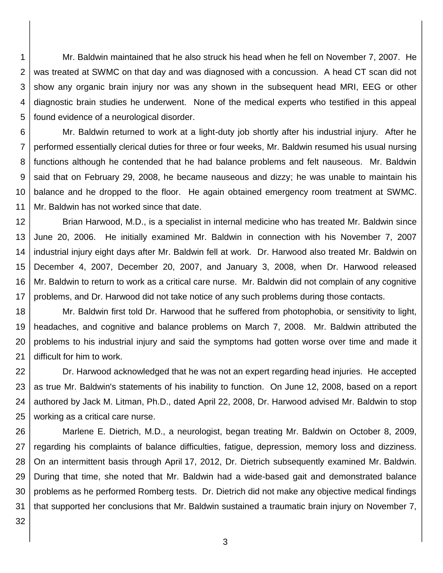1 2 3 4 5 Mr. Baldwin maintained that he also struck his head when he fell on November 7, 2007. He was treated at SWMC on that day and was diagnosed with a concussion. A head CT scan did not show any organic brain injury nor was any shown in the subsequent head MRI, EEG or other diagnostic brain studies he underwent. None of the medical experts who testified in this appeal found evidence of a neurological disorder.

6 7 8 9 10 11 Mr. Baldwin returned to work at a light-duty job shortly after his industrial injury. After he performed essentially clerical duties for three or four weeks, Mr. Baldwin resumed his usual nursing functions although he contended that he had balance problems and felt nauseous. Mr. Baldwin said that on February 29, 2008, he became nauseous and dizzy; he was unable to maintain his balance and he dropped to the floor. He again obtained emergency room treatment at SWMC. Mr. Baldwin has not worked since that date.

12 13 14 15 16 17 Brian Harwood, M.D., is a specialist in internal medicine who has treated Mr. Baldwin since June 20, 2006. He initially examined Mr. Baldwin in connection with his November 7, 2007 industrial injury eight days after Mr. Baldwin fell at work. Dr. Harwood also treated Mr. Baldwin on December 4, 2007, December 20, 2007, and January 3, 2008, when Dr. Harwood released Mr. Baldwin to return to work as a critical care nurse. Mr. Baldwin did not complain of any cognitive problems, and Dr. Harwood did not take notice of any such problems during those contacts.

18 19 20 21 Mr. Baldwin first told Dr. Harwood that he suffered from photophobia, or sensitivity to light, headaches, and cognitive and balance problems on March 7, 2008. Mr. Baldwin attributed the problems to his industrial injury and said the symptoms had gotten worse over time and made it difficult for him to work.

22 23 24 25 Dr. Harwood acknowledged that he was not an expert regarding head injuries. He accepted as true Mr. Baldwin's statements of his inability to function. On June 12, 2008, based on a report authored by Jack M. Litman, Ph.D., dated April 22, 2008, Dr. Harwood advised Mr. Baldwin to stop working as a critical care nurse.

26 27 28 29 30 31 Marlene E. Dietrich, M.D., a neurologist, began treating Mr. Baldwin on October 8, 2009, regarding his complaints of balance difficulties, fatigue, depression, memory loss and dizziness. On an intermittent basis through April 17, 2012, Dr. Dietrich subsequently examined Mr. Baldwin. During that time, she noted that Mr. Baldwin had a wide-based gait and demonstrated balance problems as he performed Romberg tests. Dr. Dietrich did not make any objective medical findings that supported her conclusions that Mr. Baldwin sustained a traumatic brain injury on November 7,

32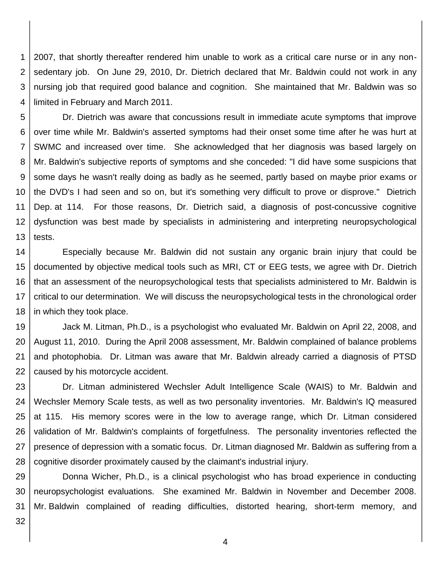1 2 3 4 2007, that shortly thereafter rendered him unable to work as a critical care nurse or in any nonsedentary job. On June 29, 2010, Dr. Dietrich declared that Mr. Baldwin could not work in any nursing job that required good balance and cognition. She maintained that Mr. Baldwin was so limited in February and March 2011.

5 6 7 8 9 10 11 12 13 Dr. Dietrich was aware that concussions result in immediate acute symptoms that improve over time while Mr. Baldwin's asserted symptoms had their onset some time after he was hurt at SWMC and increased over time. She acknowledged that her diagnosis was based largely on Mr. Baldwin's subjective reports of symptoms and she conceded: "I did have some suspicions that some days he wasn't really doing as badly as he seemed, partly based on maybe prior exams or the DVD's I had seen and so on, but it's something very difficult to prove or disprove." Dietrich Dep. at 114. For those reasons, Dr. Dietrich said, a diagnosis of post-concussive cognitive dysfunction was best made by specialists in administering and interpreting neuropsychological tests.

14 15 16 17 18 Especially because Mr. Baldwin did not sustain any organic brain injury that could be documented by objective medical tools such as MRI, CT or EEG tests, we agree with Dr. Dietrich that an assessment of the neuropsychological tests that specialists administered to Mr. Baldwin is critical to our determination. We will discuss the neuropsychological tests in the chronological order in which they took place.

19 20 21 22 Jack M. Litman, Ph.D., is a psychologist who evaluated Mr. Baldwin on April 22, 2008, and August 11, 2010. During the April 2008 assessment, Mr. Baldwin complained of balance problems and photophobia. Dr. Litman was aware that Mr. Baldwin already carried a diagnosis of PTSD caused by his motorcycle accident.

23 24 25 26 27 28 Dr. Litman administered Wechsler Adult Intelligence Scale (WAIS) to Mr. Baldwin and Wechsler Memory Scale tests, as well as two personality inventories. Mr. Baldwin's IQ measured at 115. His memory scores were in the low to average range, which Dr. Litman considered validation of Mr. Baldwin's complaints of forgetfulness. The personality inventories reflected the presence of depression with a somatic focus. Dr. Litman diagnosed Mr. Baldwin as suffering from a cognitive disorder proximately caused by the claimant's industrial injury.

29 30 31 Donna Wicher, Ph.D., is a clinical psychologist who has broad experience in conducting neuropsychologist evaluations. She examined Mr. Baldwin in November and December 2008. Mr. Baldwin complained of reading difficulties, distorted hearing, short-term memory, and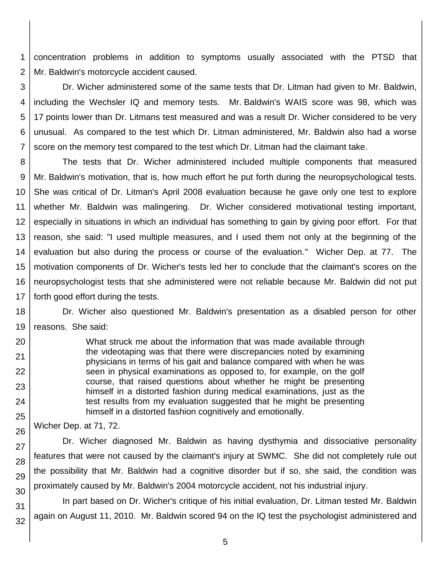1 2 concentration problems in addition to symptoms usually associated with the PTSD that Mr. Baldwin's motorcycle accident caused.

3 4 5 6 7 Dr. Wicher administered some of the same tests that Dr. Litman had given to Mr. Baldwin, including the Wechsler IQ and memory tests. Mr. Baldwin's WAIS score was 98, which was 17 points lower than Dr. Litmans test measured and was a result Dr. Wicher considered to be very unusual. As compared to the test which Dr. Litman administered, Mr. Baldwin also had a worse score on the memory test compared to the test which Dr. Litman had the claimant take.

8 9 10 11 12 13 14 15 16 17 The tests that Dr. Wicher administered included multiple components that measured Mr. Baldwin's motivation, that is, how much effort he put forth during the neuropsychological tests. She was critical of Dr. Litman's April 2008 evaluation because he gave only one test to explore whether Mr. Baldwin was malingering. Dr. Wicher considered motivational testing important, especially in situations in which an individual has something to gain by giving poor effort. For that reason, she said: "I used multiple measures, and I used them not only at the beginning of the evaluation but also during the process or course of the evaluation." Wicher Dep. at 77. The motivation components of Dr. Wicher's tests led her to conclude that the claimant's scores on the neuropsychologist tests that she administered were not reliable because Mr. Baldwin did not put forth good effort during the tests.

18 19 Dr. Wicher also questioned Mr. Baldwin's presentation as a disabled person for other reasons. She said:

> What struck me about the information that was made available through the videotaping was that there were discrepancies noted by examining physicians in terms of his gait and balance compared with when he was seen in physical examinations as opposed to, for example, on the golf course, that raised questions about whether he might be presenting himself in a distorted fashion during medical examinations, just as the test results from my evaluation suggested that he might be presenting himself in a distorted fashion cognitively and emotionally.

Wicher Dep. at 71, 72.

20

21 22

23

24

25

26

27 28 29 30 Dr. Wicher diagnosed Mr. Baldwin as having dysthymia and dissociative personality features that were not caused by the claimant's injury at SWMC. She did not completely rule out the possibility that Mr. Baldwin had a cognitive disorder but if so, she said, the condition was proximately caused by Mr. Baldwin's 2004 motorcycle accident, not his industrial injury.

31 32 In part based on Dr. Wicher's critique of his initial evaluation, Dr. Litman tested Mr. Baldwin again on August 11, 2010. Mr. Baldwin scored 94 on the IQ test the psychologist administered and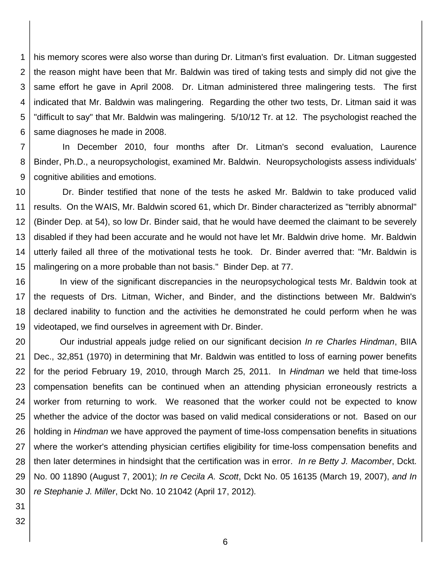1 2 3 4 5 6 his memory scores were also worse than during Dr. Litman's first evaluation. Dr. Litman suggested the reason might have been that Mr. Baldwin was tired of taking tests and simply did not give the same effort he gave in April 2008. Dr. Litman administered three malingering tests. The first indicated that Mr. Baldwin was malingering. Regarding the other two tests, Dr. Litman said it was "difficult to say" that Mr. Baldwin was malingering. 5/10/12 Tr. at 12. The psychologist reached the same diagnoses he made in 2008.

7 8 9 In December 2010, four months after Dr. Litman's second evaluation, Laurence Binder, Ph.D., a neuropsychologist, examined Mr. Baldwin. Neuropsychologists assess individuals' cognitive abilities and emotions.

10 11 12 13 14 15 Dr. Binder testified that none of the tests he asked Mr. Baldwin to take produced valid results. On the WAIS, Mr. Baldwin scored 61, which Dr. Binder characterized as "terribly abnormal" (Binder Dep. at 54), so low Dr. Binder said, that he would have deemed the claimant to be severely disabled if they had been accurate and he would not have let Mr. Baldwin drive home. Mr. Baldwin utterly failed all three of the motivational tests he took. Dr. Binder averred that: "Mr. Baldwin is malingering on a more probable than not basis." Binder Dep. at 77.

16 17 18 19 In view of the significant discrepancies in the neuropsychological tests Mr. Baldwin took at the requests of Drs. Litman, Wicher, and Binder, and the distinctions between Mr. Baldwin's declared inability to function and the activities he demonstrated he could perform when he was videotaped, we find ourselves in agreement with Dr. Binder.

20 21 22 23 24 25 26 27 28 29 30 Our industrial appeals judge relied on our significant decision *In re Charles Hindman*, BIIA Dec., 32,851 (1970) in determining that Mr. Baldwin was entitled to loss of earning power benefits for the period February 19, 2010, through March 25, 2011. In *Hindman* we held that time-loss compensation benefits can be continued when an attending physician erroneously restricts a worker from returning to work. We reasoned that the worker could not be expected to know whether the advice of the doctor was based on valid medical considerations or not. Based on our holding in *Hindman* we have approved the payment of time-loss compensation benefits in situations where the worker's attending physician certifies eligibility for time-loss compensation benefits and then later determines in hindsight that the certification was in error. *In re Betty J. Macomber*, Dckt. No. 00 11890 (August 7, 2001); *In re Cecila A. Scott*, Dckt No. 05 16135 (March 19, 2007), *and In re Stephanie J. Miller*, Dckt No. 10 21042 (April 17, 2012)*.*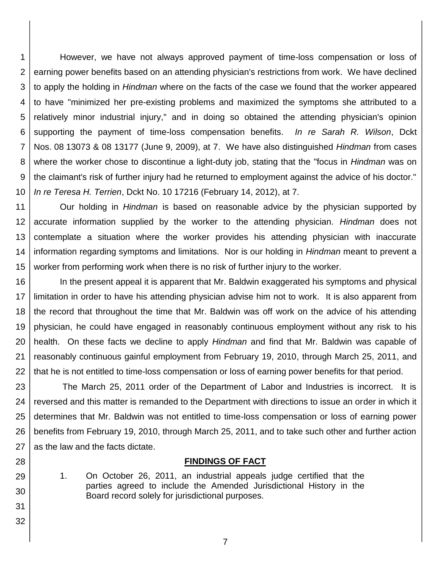1 2 3 4 5 6 7 8 9 10 However, we have not always approved payment of time-loss compensation or loss of earning power benefits based on an attending physician's restrictions from work. We have declined to apply the holding in *Hindman* where on the facts of the case we found that the worker appeared to have "minimized her pre-existing problems and maximized the symptoms she attributed to a relatively minor industrial injury," and in doing so obtained the attending physician's opinion supporting the payment of time-loss compensation benefits. *In re Sarah R. Wilson*, Dckt Nos. 08 13073 & 08 13177 (June 9, 2009), at 7. We have also distinguished *Hindman* from cases where the worker chose to discontinue a light-duty job, stating that the "focus in *Hindman* was on the claimant's risk of further injury had he returned to employment against the advice of his doctor." *In re Teresa H. Terrien*, Dckt No. 10 17216 (February 14, 2012), at 7.

11 12 13 14 15 Our holding in *Hindman* is based on reasonable advice by the physician supported by accurate information supplied by the worker to the attending physician. *Hindman* does not contemplate a situation where the worker provides his attending physician with inaccurate information regarding symptoms and limitations. Nor is our holding in *Hindman* meant to prevent a worker from performing work when there is no risk of further injury to the worker.

16 17 18 19 20 21 22 In the present appeal it is apparent that Mr. Baldwin exaggerated his symptoms and physical limitation in order to have his attending physician advise him not to work. It is also apparent from the record that throughout the time that Mr. Baldwin was off work on the advice of his attending physician, he could have engaged in reasonably continuous employment without any risk to his health. On these facts we decline to apply *Hindman* and find that Mr. Baldwin was capable of reasonably continuous gainful employment from February 19, 2010, through March 25, 2011, and that he is not entitled to time-loss compensation or loss of earning power benefits for that period.

23 24 25 26 27 The March 25, 2011 order of the Department of Labor and Industries is incorrect. It is reversed and this matter is remanded to the Department with directions to issue an order in which it determines that Mr. Baldwin was not entitled to time-loss compensation or loss of earning power benefits from February 19, 2010, through March 25, 2011, and to take such other and further action as the law and the facts dictate.

#### **FINDINGS OF FACT**

1. On October 26, 2011, an industrial appeals judge certified that the parties agreed to include the Amended Jurisdictional History in the Board record solely for jurisdictional purposes.

28

29

30

31

32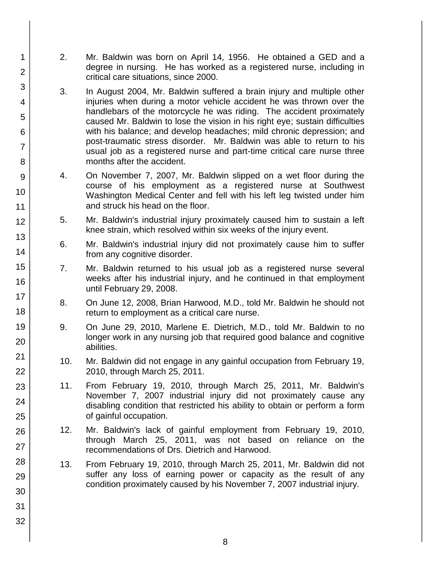- 2. Mr. Baldwin was born on April 14, 1956. He obtained a GED and a degree in nursing. He has worked as a registered nurse, including in critical care situations, since 2000.
- 3. In August 2004, Mr. Baldwin suffered a brain injury and multiple other injuries when during a motor vehicle accident he was thrown over the handlebars of the motorcycle he was riding. The accident proximately caused Mr. Baldwin to lose the vision in his right eye; sustain difficulties with his balance; and develop headaches; mild chronic depression; and post-traumatic stress disorder. Mr. Baldwin was able to return to his usual job as a registered nurse and part-time critical care nurse three months after the accident.
- 4. On November 7, 2007, Mr. Baldwin slipped on a wet floor during the course of his employment as a registered nurse at Southwest Washington Medical Center and fell with his left leg twisted under him and struck his head on the floor.
- 5. Mr. Baldwin's industrial injury proximately caused him to sustain a left knee strain, which resolved within six weeks of the injury event.
- 6. Mr. Baldwin's industrial injury did not proximately cause him to suffer from any cognitive disorder.
- 7. Mr. Baldwin returned to his usual job as a registered nurse several weeks after his industrial injury, and he continued in that employment until February 29, 2008.
- 8. On June 12, 2008, Brian Harwood, M.D., told Mr. Baldwin he should not return to employment as a critical care nurse.
- 9. On June 29, 2010, Marlene E. Dietrich, M.D., told Mr. Baldwin to no longer work in any nursing job that required good balance and cognitive abilities.
- 10. Mr. Baldwin did not engage in any gainful occupation from February 19, 2010, through March 25, 2011.
- 11. From February 19, 2010, through March 25, 2011, Mr. Baldwin's November 7, 2007 industrial injury did not proximately cause any disabling condition that restricted his ability to obtain or perform a form of gainful occupation.
- 12. Mr. Baldwin's lack of gainful employment from February 19, 2010, through March 25, 2011, was not based on reliance on the recommendations of Drs. Dietrich and Harwood.
- 13. From February 19, 2010, through March 25, 2011, Mr. Baldwin did not suffer any loss of earning power or capacity as the result of any condition proximately caused by his November 7, 2007 industrial injury.